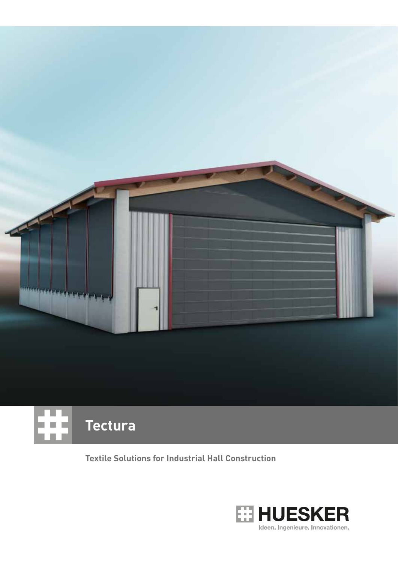

### **Tectura** n n

**Textile Solutions for Industrial Hall Construction** 

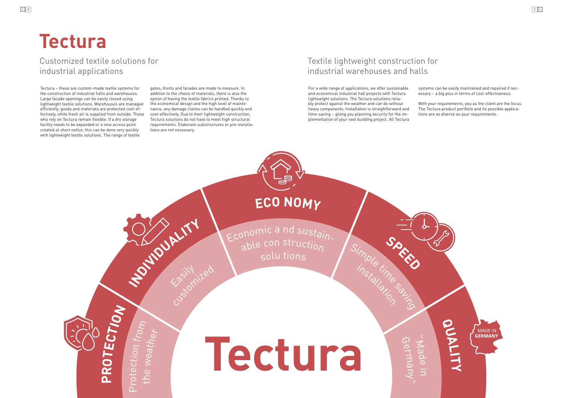# **Tectura**

## **Tectura**

Customized textile solutions for industrial applications

### Textile lightweight construction for industrial warehouses and halls

Tectura – these are custom-made textile systems for the construction of industrial halls and warehouses. Large facade openings can be easily closed using lightweight textile solutions. Warehouses are managed efficiently, goods and materials are protected cost-effectively, while fresh air is supplied from outside. Those who rely on Tectura remain flexible. If a dry storage facility needs to be expanded or a new access point created at short notice, this can be done very quickly with lightweight textile solutions. The range of textile

gates, fronts and facades are made to measure. In addition to the choice of materials, there is also the option of having the textile fabrics printed. Thanks to the economical design and the high level of maintenance, any damage claims can be handled quickly and cost-effectively. Due to their lightweight construction, Tectura solutions do not have to meet high structural requirements. Elaborate substructures or pre-installations are not necessary.

> Economic a nd sustainable con struction <sup>s</sup>ol<sup>u</sup> tion<sup>s</sup>

For a wide range of applications, we offer sustainable and economical industrial hall projects with Tectura lightweight solutions. The Tectura solutions reliably protect against the weather and can do without heavy components. Installation is straightforward and time-saving – giving you planning security for the implementation of your next building project. All Tectura

systems can be easily maintained and repaired if necessary – a big plus in terms of cost-effectiveness.

With your requirements, you as the client are the focus. The Tectura product portfolio and its possible applications are as diverse as your requirements.

**P R O T**



**<sup>S</sup>PEE<sup>D</sup>**

Simple time saying

installation

**ECO NOMY**

**INDUIIIT** 

"  $\leq$  $\boldsymbol{\omega}$  $\Omega$  $\sigma$ in<br>E G  $\sigma$  $\lnot$  $\mathsf{\mathcal{\overline{B}}}$  $\Omega$  $\Box$  $\prec$ "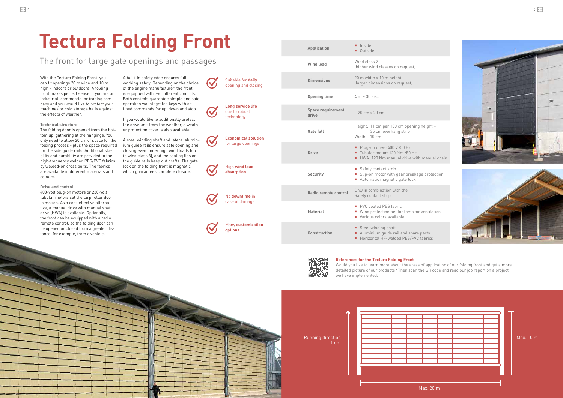

nual chain

rotection

til ation

■ Horizontal HF-welded PES/PVC fabrics





 $0.10<sub>m</sub>$ 



| Ma |  |  |  |  |  |
|----|--|--|--|--|--|
|    |  |  |  |  |  |
|    |  |  |  |  |  |
|    |  |  |  |  |  |
|    |  |  |  |  |  |
|    |  |  |  |  |  |
|    |  |  |  |  |  |
|    |  |  |  |  |  |
|    |  |  |  |  |  |
|    |  |  |  |  |  |
|    |  |  |  |  |  |

front

Max. 20 m

Would you like to learn more about the areas of application of our folding front and get a more detailed picture of our products? Then scan the QR code and read our job report on a project we have implemented.

## **Tectura Folding Front**

With the Tectura Folding Front, you can fit openings 20 m wide and 10 m high - indoors or outdoors. A folding front makes perfect sense, if you are an industrial, commercial or trading company and you would like to protect your machines or cold storage halls against the effects of weather.

#### **Technical structure**

|                                                  | <b>Application</b>                | lnside<br><b>Outside</b>                                                                                               |
|--------------------------------------------------|-----------------------------------|------------------------------------------------------------------------------------------------------------------------|
|                                                  | <b>Wind load</b>                  | Wind class 2<br>(higher wind classes on request)                                                                       |
| Suitable for daily<br>opening and closing        | <b>Dimensions</b>                 | 20 m width x 10 m height<br>(larger dimensions on request)                                                             |
|                                                  | <b>Opening time</b>               | $4 m \sim 30 sec.$                                                                                                     |
| Long service life<br>due to robust<br>technology | <b>Space requirement</b><br>drive | $\sim$ 20 cm x 20 cm                                                                                                   |
| <b>Economical solution</b>                       | Gate fall                         | Height: 11 cm per 100 cm opening height +<br>25 cm overhang strip<br>Width: $~10~cm$                                   |
| for large openings                               | <b>Drive</b>                      | Plug-on drive: $400 \text{ V} / 50 \text{ Hz}$<br>Tubular motor: 120 Nm /50 Hz<br>HWA: 120 Nm manual drive with manual |
| High wind load<br>absorption                     | <b>Security</b>                   | Safety contact strip<br>Slip-on motor with gear breakage proted<br>Automatic magnetic gate lock                        |
| No downtime in                                   | Radio remote control              | Only in combination with the<br>Safety contact strip                                                                   |
| case of damage                                   | <b>Material</b>                   | PVC coated PES fabric<br>■ Wind protection net for fresh air ventilati<br>• Various colors available                   |
| Many customization<br>options                    | Construction                      | Steel winding shaft<br>Aluminium guide rail and spare parts                                                            |



**Many custom options**

**High wind loa absorption Economical s** for large open **Long service** due to robust technology

**No downtime** case of dama

The folding door is opened from the bottom up, gathering at the hangings. You only need to allow 20 cm of space for the folding process - plus the space required for the side guide rails. Additional stability and durability are provided to the high-frequency welded PES/PVC fabrics by welded-on cross belts. The fabrics are available in different materials and colours.

#### **Drive and control**

400-volt plug-on motors or 230-volt tubular motors set the tarp roller door in motion. As a cost-effective alternative, a manual drive with manual shaft drive (HWA) is available. Optionally, the front can be equipped with a radio remote control, so the folding door can be opened or closed from a greater distance, for example, from a vehicle.

A built-in safety edge ensures full working safety. Depending on the choice of the engine manufacturer, the front is equipped with two different controls. Both controls guarantee simple and safe operation via integrated keys with defined commands for up, down and stop.

If you would like to additionally protect the drive unit from the weather, a weather protection cover is also available.

A steel winding shaft and lateral aluminium guide rails ensure safe opening and closing even under high wind loads (up to wind class 3), and the sealing lips on the guide rails keep out drafts. The gate lock on the folding front is magnetic, which guarantees complete closure.

### The front for large gate openings and passages

#### **References for the Tectura Folding Front**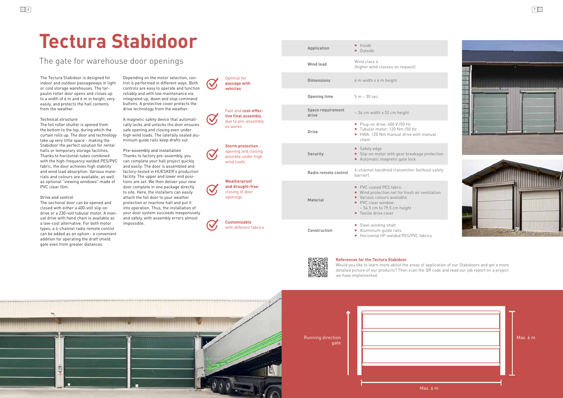

Running direction gate

## **Tectura Stabidoor**

The Tectura Stabidoor is designed for indoor and outdoor passageways in light or cold storage warehouses. The tarpaulin roller door opens and closes up to a width of 6 m and 6 m in height, very easily, and protects the hall contents from the weather.

#### **Technical structure**

The foil roller shutter is opened from the bottom to the top, during which the curtain rolls up. The door and technology take up very little space - making the Stabidoor the perfect solution for rental halls or temporary storage facilities. Thanks to horizontal tubes combined with the high-frequency welded PES/PVC fabric, the door achieves high stability and wind load absorption. Various materials and colours are available, as well as optional "viewing windows" made of PVC clear film.

**Drive and control**

|                                                                                       | Application                       | lnside<br><b>Outside</b>                                                                                                                                                                     |
|---------------------------------------------------------------------------------------|-----------------------------------|----------------------------------------------------------------------------------------------------------------------------------------------------------------------------------------------|
|                                                                                       | <b>Wind load</b>                  | Wind class 4<br>(higher wind classes on request)                                                                                                                                             |
| Optimal for<br>passage with<br>vehicles                                               | <b>Dimensions</b>                 | 6 m width x 6 m height                                                                                                                                                                       |
|                                                                                       | <b>Opening time</b>               | $5 m \sim 30 sec.$                                                                                                                                                                           |
| Fast and cost-effec-<br>tive final assembly                                           | <b>Space requirement</b><br>drive | ~36 cm width x 52 cm height                                                                                                                                                                  |
| due to pre-assembly<br>ex works                                                       | <b>Drive</b>                      | Plug-on drive: 400 V /50 Hz<br>Tubular motor: 120 Nm /50 Hz<br>HWA: 120 Nm manual drive with manual<br>chain                                                                                 |
| <b>Storm protection -</b><br>opening and closing<br>possible under high<br>wind loads | <b>Security</b>                   | ■ Safety edge<br>Slip-on motor with gear breakage protection<br>Automatic magnetic gate lock                                                                                                 |
|                                                                                       | Radio remote control              | 4-channel handheld transmitter (without safety<br>barrier                                                                                                                                    |
| Weatherproof<br>and draught-free<br>closing of door<br>openings                       | <b>Material</b>                   | PVC coated PES fabric<br>■ Wind protection net for fresh air ventilation<br>Various colours available<br>PVC clear window:<br>$\sim$ 54.5 cm to 79.5 cm height<br><b>Textile drive cover</b> |
| <b>Customizable</b><br>with different fabrics                                         | <b>Construction</b>               | Steel winding shaft<br>Aluminium guide rails<br>Horizontal HF-welded PES/PVC fabrics                                                                                                         |



The sectional door can be opened and closed with either a 400-volt slip-on drive or a 230-volt tubular motor. A manual drive with hand chain is available as a low-cost alternative. For both motor types, a 4-channel radio remote control can be added as an option - a convenient addition for operating the draft shield gate even from greater distances.

Depending on the motor selection, control is performed in different ways. Both controls are easy to operate and function reliably and with low maintenance via integrated up, down and stop command buttons. A protective cover protects the drive technology from the weather.

A magnetic safety device that automatically locks and unlocks the door ensures safe opening and closing even under high wind loads. The laterally sealed aluminium guide rails keep drafts out.

**Pre-assembly and installation** Thanks to factory pre-assembly, you can complete your hall project quickly and easily: The door is assembled and factory-tested in HUESKER's production facility. The upper and lower end positions are set. We then deliver your new door complete in one package directly to site. Here, the installers can easily attach the foil door to your weather protection or machine hall and put it into operation. Thus, the installation of your door system succeeds inexpensively and safely, with assembly errors almost impossible.

The gate for warehouse door openings

|          | Max. 6 m |
|----------|----------|
|          |          |
|          |          |
| Max. 6 m |          |

Would you like to learn more about the areas of application of our Stabidoors and get a more detailed picture of our products? Then scan the QR code and read our job report on a project we have implemented.



#### **References for the Tectura Stabidoor**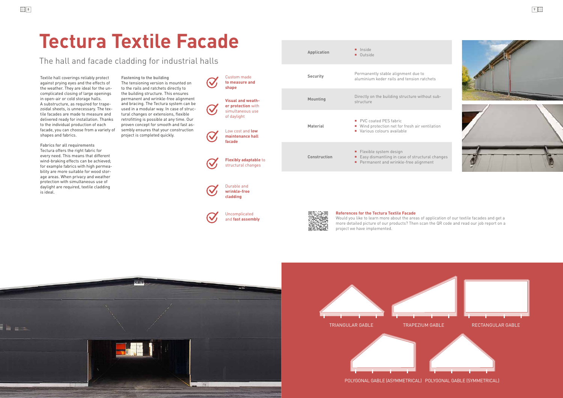





POLYGONAL GABLE (ASYMMETRICAL) POLYGONAL GABLE (SYMMETRICAL)



## **Tectura Textile Facade**

Textile hall coverings reliably protect against prying eyes and the effects of the weather. They are ideal for the uncomplicated closing of large openings in open-air or cold storage halls. A substructure, as required for trapezoidal sheets, is unnecessary. The textile facades are made to measure and delivered ready for installation. Thanks to the individual production of each facade, you can choose from a variety of shapes and fabrics.



**Application I** Inside

Outside

**Fabrics for all requirements** Tectura offers the right fabric for every need. This means that different wind-braking effects can be achieved; for example fabrics with high permeability are more suitable for wood storage areas. When privacy and weather protection with simultaneous use of daylight are required, textile cladding is ideal.

**Fastening to the building** The tensioning version is mounted on

to the rails and ratchets directly to the building structure. This ensures permanent and wrinkle-free alignment and bracing. The Tectura system can be used in a modular way. In case of structural changes or extensions, flexible retrofitting is possible at any time. Our proven concept for smooth and fast assembly ensures that your construction project is completed quickly.

The hall and facade cladding for industrial halls

Uncomplicated and **fast assembly**



**cladding**

Would you like to learn more about the areas of application of our textile facades and get a more detailed picture of our products? Then scan the QR code and read our job report on a project we have implemented.



#### **References for the Tectura Textile Facade**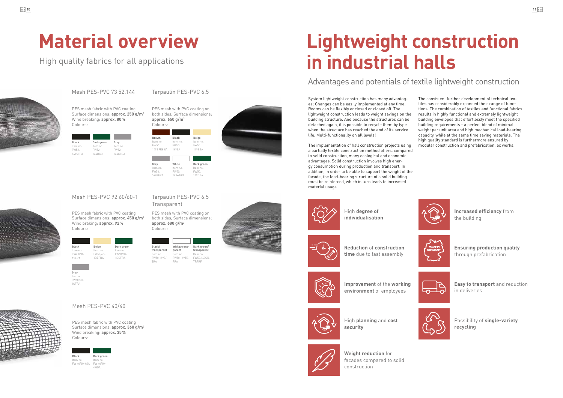## **Lightweight construction in industrial halls**

### Advantages and potentials of textile lightweight construction



**Increased efficiency** from the building

**Improvement** of the **working environment** of employees





High **planning** and **cost security**



**Ensuring production quality** through prefabrication



**Easy to transport** and reduction in deliveries

High **degree of individualisation**



Item FW50.149S/ TRA

**Reduction** of **construction time** due to fast assembly







Possibility of **single-variety recycling**

Item no FW60/60- 1GFRA



**Weight reduction** for facades compared to solid construction





High quality fabrics for all applications



## **Material overview**

FW 40/40-4SA FW 40/40- 4WGA

TRFRF

FRA

Item no. FW60/60- 1SFRA

Item no. FW60/60- 1BEFRA

| Black          | Dark green | Grey           |
|----------------|------------|----------------|
| Item no.       | Item no.   | Item no.       |
| FW52.          | FW52.      | FW52.          |
| <b>144SFRA</b> | 144DGD     | <b>144GFRA</b> |

Item no. FW60/60- 1DGFRA

PES mesh with PVC coating on both sides, Surface dimensions: **approx. 650 g/m2** Colours:

PES mesh with PVC coating on both sides, Surface dimensions: **approx. 680 g/m2** Colours:

Black Dark green Grey Starting (Market Dark Green Grey Hemmo, The implementation of hall construction projects using modular construction and prefabrication, ex works. a partially textile construction method offers, compared to solid construction, many ecological and economic advantages. Solid construction involves high energy consumption during production and transport. In addition, in order to be able to support the weight of the facade, the load-bearing structure of a solid building must be reinforced, which in turn leads to increased material usage.



PES mesh fabric with PVC coating Surface dimensions: **approx. 360 g/m2** Wind breaking: **approx. 35%** Colours:

PES mesh fabric with PVC coating Surface dimensions: **approx. 250 g/m2** Wind breaking: **approx. 80%** Colours:

PES mesh fabric with PVC coating Surface dimensions: **approx. 450 g/m2**

Wind braking: **approx. 92%**

Colours:

## Mesh PES-PVC 73 52.144

### Mesh PES-PVC 40/40

#### Tarpaulin PES-PVC 6.5

## Mesh PES-PVC 92 60/60-1 Tarpaulin PES-PVC 6.5

**Transparent** 

| <b>Brown</b><br>Item no.<br>FW50.<br>149BFR8.8A | <b>Black</b><br>Item no.<br>FW50.<br>149SA | <b>Beige</b><br>Item no.<br>FW50.<br><b>149BFA</b> |
|-------------------------------------------------|--------------------------------------------|----------------------------------------------------|
|                                                 |                                            |                                                    |
| Grey                                            | White                                      | Dark green                                         |
| Item no.<br>FW50.                               | Item no.                                   | Item no.                                           |
|                                                 | FW50.                                      | FW50.                                              |
| 149GFRA                                         | 149WFRA                                    | 149DGA                                             |

System lightweight construction has many advantages: Changes can be easily implemented at any time. Rooms can be flexibly enclosed or closed off. The lightweight construction leads to weight savings on the building structure. And because the structures can be detached again, it is possible to recycle them by type when the structure has reached the end of its service life. Multi-functionality on all levels!





The consistent further development of technical textiles has considerably expanded their range of functions. The combination of textiles and functional fabrics results in highly functional and extremely lightweight building envelopes that effortlessly meet the specified building requirements - a perfect blend of minimal weight per unit area and high mechanical load-bearing capacity, while at the same time saving materials. The high quality standard is furthermore ensured by

**Black Beige Dark green**

**Grey**

**Black/ transparent**

**parent**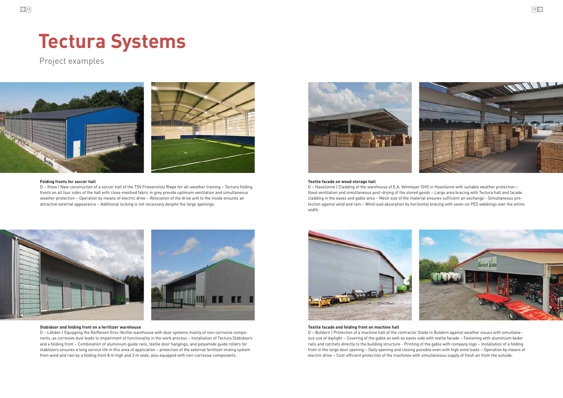## **Tectura Systems**

Project examples



#### **Stabidoor and folding front on a fertilizer warehouse**

D – Lähden | Equipping the Raiffeisen Ems-Vechte warehouse with door systems mainly of non-corrosive components, as corrosive dust leads to impairment of functionality in the work process – Installation of Tectura Stabidoors and a folding front – Combination of aluminium guide rails, textile door hangings, and polyamide guide rollers for stabilizers ensures a long service life in this area of application – protection of the external fertilizer mixing system from wind and rain by a folding front 8 m high and 3 m wide, also equipped with non-corrosive components.



#### **Folding fronts for soccer hall Textile facade on wood storage hall**

#### **Textile facade and folding front on machine hall**

D – Buldern | Protection of a machine hall of the contractor Stade in Buldern against weather issues with simultaneous use of daylight – Covering of the gable as well as eaves side with textile facade – Fastening with aluminium keder rails and ratchets directly to the building structure - Printing of the gable with company logo – Installation of a folding front in the large door opening – Daily opening and closing possible even with high wind loads – Operation by means of electric drive – Cost-efficient protection of the machines with simultaneous supply of fresh air from the outside.

D – Haselünne | Cladding of the warehouse of E.A. Vehmeyer OHG in Haselünne with suitable weather protection – Good ventilation and simultaneous post-drying of the stored goods – Large area bracing with Tectura hall and facade cladding in the eaves and gable area – Mesh size of the material ensures sufficient air exchange - Simultaneous protection against wind and rain – Wind load absorption by horizontal bracing with sewn-on PES webbings over the entire width.



D – Ihlow | New construction of a soccer hall of the TSV Friesenstolz Riepe for all-weather training – Tectura folding fronts on all four sides of the hall with close-meshed fabric in grey provide optimum ventilation and simultaneous weather protection – Operation by means of electric drive – Relocation of the drive unit to the inside ensures an attractive external appearance – Additional locking is not necessary despite the large openings.

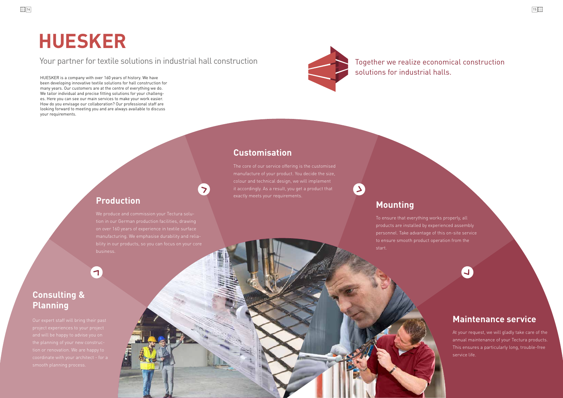## **Mounting**

## **Maintenance service**

### **Customisation**

## **HUESKER**

### Your partner for textile solutions in industrial hall construction Together we realize economical construction

HUESKER is a company with over 160 years of history. We have been developing innovative textile solutions for hall construction for many years. Our customers are at the centre of everything we do. We tailor individual and precise fitting solutions for your challenges. Here you can see our main services to make your work easier. How do you envisage our collaboration? Our professional staff are looking forward to meeting you and are always available to discuss your requirements.



solutions for industrial halls.

### **Consulting & Planning**

business.

 $\blacktriangledown$ 

The core of our service offering is the customised manufacture of your product. You decide the size, colour and technical design, we will implement it accordingly. As a result, you get a product that exactly meets your requirements.

> To ensure that everything works properly, all products are installed by experienced assembly personnel. Take advantage of this on-site service to ensure smooth product operation from the start.

> > At your request, we will gladly take care of the annual maintenance of your Tectura products. This ensures a particularly long, trouble-free service life.

### **Production**

 $\left( \mathbf{1}\right)$